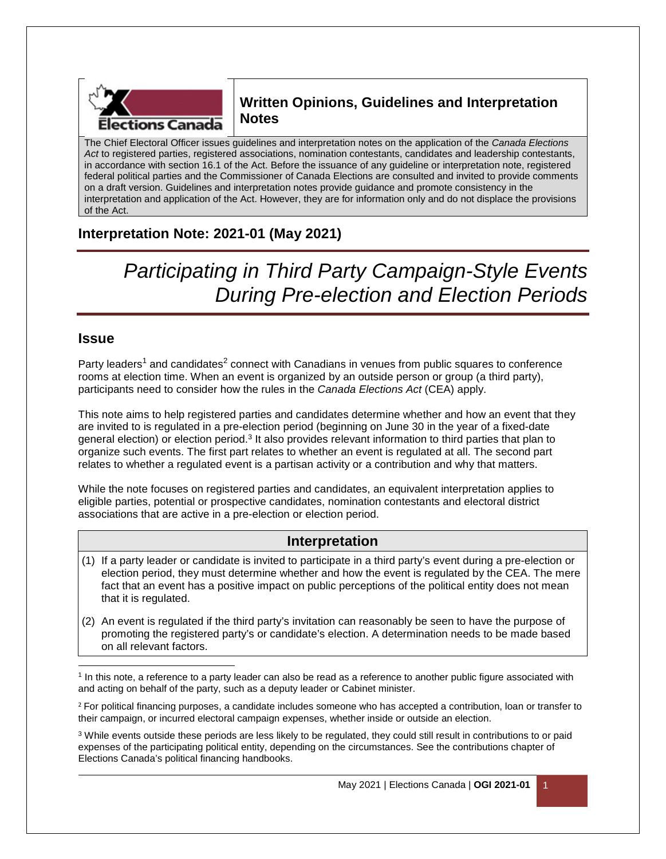

# **Written Opinions, Guidelines and Interpretation Notes**

The Chief Electoral Officer issues guidelines and interpretation notes on the application of the *Canada Elections Act* to registered parties, registered associations, nomination contestants, candidates and leadership contestants, in accordance with section 16.1 of the Act. Before the issuance of any guideline or interpretation note, registered federal political parties and the Commissioner of Canada Elections are consulted and invited to provide comments on a draft version. Guidelines and interpretation notes provide guidance and promote consistency in the interpretation and application of the Act. However, they are for information only and do not displace the provisions of the Act.

# **Interpretation Note: 2021-01 (May 2021)**

*Participating in Third Party Campaign-Style Events During Pre-election and Election Periods* 

### **Issue**

Party leaders<sup>1</sup> and candidates<sup>2</sup> connect with Canadians in venues from public squares to conference rooms at election time. When an event is organized by an outside person or group (a third party), participants need to consider how the rules in the *Canada Elections Act* (CEA) apply.

This note aims to help registered parties and candidates determine whether and how an event that they are invited to is regulated in a pre-election period (beginning on June 30 in the year of a fixed-date general election) or election period.<sup>3</sup> It also provides relevant information to third parties that plan to organize such events. The first part relates to whether an event is regulated at all. The second part relates to whether a regulated event is a partisan activity or a contribution and why that matters.

While the note focuses on registered parties and candidates, an equivalent interpretation applies to eligible parties, potential or prospective candidates, nomination contestants and electoral district associations that are active in a pre-election or election period.

### **Interpretation**

- (1) If a party leader or candidate is invited to participate in a third party's event during a pre-election or election period, they must determine whether and how the event is regulated by the CEA. The mere fact that an event has a positive impact on public perceptions of the political entity does not mean that it is regulated.
- (2) An event is regulated if the third party's invitation can reasonably be seen to have the purpose of promoting the registered party's or candidate's election. A determination needs to be made based on all relevant factors.

 $\overline{a}$ <sup>1</sup> In this note, a reference to a party leader can also be read as a reference to another public figure associated with and acting on behalf of the party, such as a deputy leader or Cabinet minister.

<sup>2</sup> For political financing purposes, a candidate includes someone who has accepted a contribution, loan or transfer to their campaign, or incurred electoral campaign expenses, whether inside or outside an election.

<sup>3</sup> While events outside these periods are less likely to be regulated, they could still result in contributions to or paid expenses of the participating political entity, depending on the circumstances. See the contributions chapter of Elections Canada's political financing handbooks.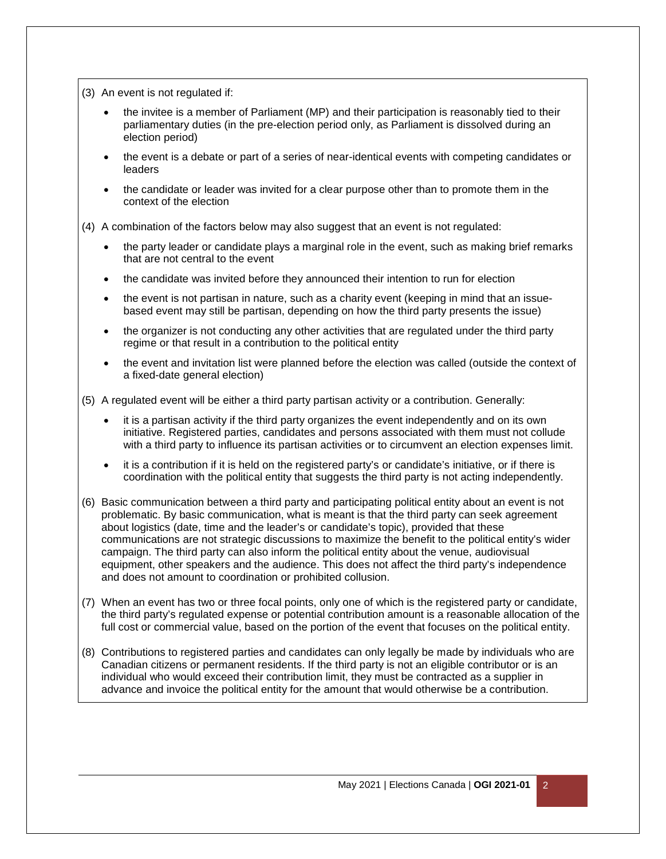(3) An event is not regulated if:

- the invitee is a member of Parliament (MP) and their participation is reasonably tied to their parliamentary duties (in the pre-election period only, as Parliament is dissolved during an election period)
- the event is a debate or part of a series of near-identical events with competing candidates or leaders
- the candidate or leader was invited for a clear purpose other than to promote them in the context of the election

(4) A combination of the factors below may also suggest that an event is not regulated:

- the party leader or candidate plays a marginal role in the event, such as making brief remarks that are not central to the event
- the candidate was invited before they announced their intention to run for election
- the event is not partisan in nature, such as a charity event (keeping in mind that an issuebased event may still be partisan, depending on how the third party presents the issue)
- the organizer is not conducting any other activities that are regulated under the third party regime or that result in a contribution to the political entity
- the event and invitation list were planned before the election was called (outside the context of a fixed-date general election)

(5) A regulated event will be either a third party partisan activity or a contribution. Generally:

- it is a partisan activity if the third party organizes the event independently and on its own initiative. Registered parties, candidates and persons associated with them must not collude with a third party to influence its partisan activities or to circumvent an election expenses limit.
- it is a contribution if it is held on the registered party's or candidate's initiative, or if there is coordination with the political entity that suggests the third party is not acting independently.
- (6) Basic communication between a third party and participating political entity about an event is not problematic. By basic communication, what is meant is that the third party can seek agreement about logistics (date, time and the leader's or candidate's topic), provided that these communications are not strategic discussions to maximize the benefit to the political entity's wider campaign. The third party can also inform the political entity about the venue, audiovisual equipment, other speakers and the audience. This does not affect the third party's independence and does not amount to coordination or prohibited collusion.
- (7) When an event has two or three focal points, only one of which is the registered party or candidate, the third party's regulated expense or potential contribution amount is a reasonable allocation of the full cost or commercial value, based on the portion of the event that focuses on the political entity.
- (8) Contributions to registered parties and candidates can only legally be made by individuals who are Canadian citizens or permanent residents. If the third party is not an eligible contributor or is an individual who would exceed their contribution limit, they must be contracted as a supplier in advance and invoice the political entity for the amount that would otherwise be a contribution.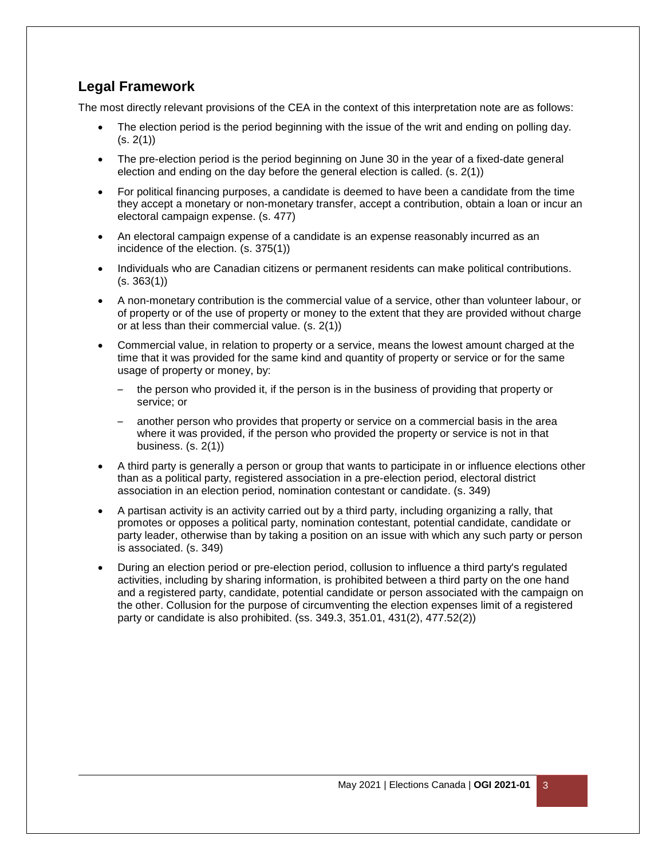# **Legal Framework**

The most directly relevant provisions of the CEA in the context of this interpretation note are as follows:

- The election period is the period beginning with the issue of the writ and ending on polling day.  $(s. 2(1))$
- The pre-election period is the period beginning on June 30 in the year of a fixed-date general election and ending on the day before the general election is called. (s. 2(1))
- For political financing purposes, a candidate is deemed to have been a candidate from the time they accept a monetary or non-monetary transfer, accept a contribution, obtain a loan or incur an electoral campaign expense. (s. 477)
- An electoral campaign expense of a candidate is an expense reasonably incurred as an incidence of the election. (s. 375(1))
- Individuals who are Canadian citizens or permanent residents can make political contributions.  $(s. 363(1))$
- A non-monetary contribution is the commercial value of a service, other than volunteer labour, or of property or of the use of property or money to the extent that they are provided without charge or at less than their commercial value. (s. 2(1))
- Commercial value, in relation to property or a service, means the lowest amount charged at the time that it was provided for the same kind and quantity of property or service or for the same usage of property or money, by:
	- the person who provided it, if the person is in the business of providing that property or service; or
	- another person who provides that property or service on a commercial basis in the area where it was provided, if the person who provided the property or service is not in that business. (s. 2(1))
- A third party is generally a person or group that wants to participate in or influence elections other than as a political party, registered association in a pre-election period, electoral district association in an election period, nomination contestant or candidate. (s. 349)
- A partisan activity is an activity carried out by a third party, including organizing a rally, that promotes or opposes a political party, nomination contestant, potential candidate, candidate or party leader, otherwise than by taking a position on an issue with which any such party or person is associated. (s. 349)
- During an election period or pre-election period, collusion to influence a third party's regulated activities, including by sharing information, is prohibited between a third party on the one hand and a registered party, candidate, potential candidate or person associated with the campaign on the other. Collusion for the purpose of circumventing the election expenses limit of a registered party or candidate is also prohibited. (ss. 349.3, 351.01, 431(2), 477.52(2))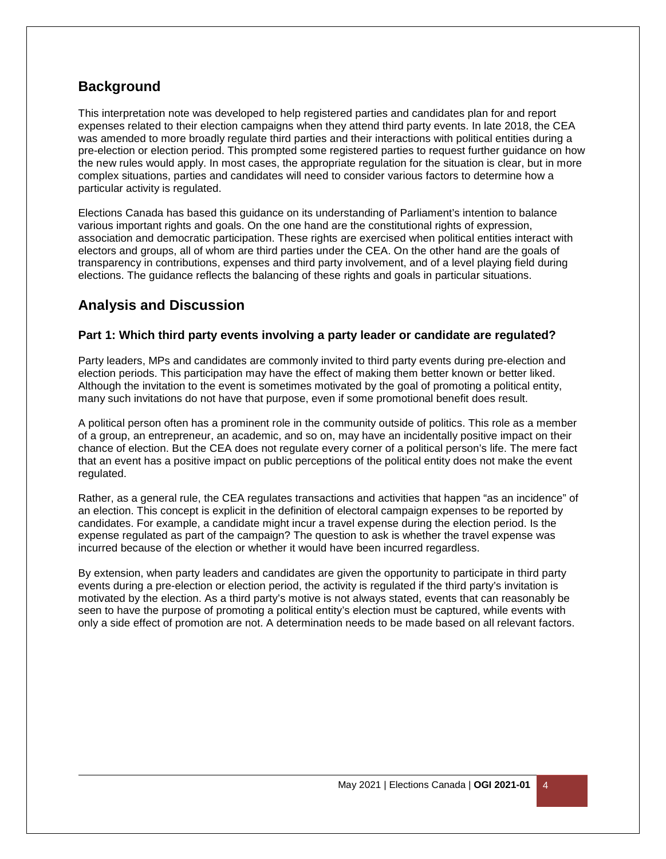## **Background**

This interpretation note was developed to help registered parties and candidates plan for and report expenses related to their election campaigns when they attend third party events. In late 2018, the CEA was amended to more broadly regulate third parties and their interactions with political entities during a pre-election or election period. This prompted some registered parties to request further guidance on how the new rules would apply. In most cases, the appropriate regulation for the situation is clear, but in more complex situations, parties and candidates will need to consider various factors to determine how a particular activity is regulated.

Elections Canada has based this guidance on its understanding of Parliament's intention to balance various important rights and goals. On the one hand are the constitutional rights of expression, association and democratic participation. These rights are exercised when political entities interact with electors and groups, all of whom are third parties under the CEA. On the other hand are the goals of transparency in contributions, expenses and third party involvement, and of a level playing field during elections. The guidance reflects the balancing of these rights and goals in particular situations.

### **Analysis and Discussion**

### **Part 1: Which third party events involving a party leader or candidate are regulated?**

Party leaders, MPs and candidates are commonly invited to third party events during pre-election and election periods. This participation may have the effect of making them better known or better liked. Although the invitation to the event is sometimes motivated by the goal of promoting a political entity, many such invitations do not have that purpose, even if some promotional benefit does result.

A political person often has a prominent role in the community outside of politics. This role as a member of a group, an entrepreneur, an academic, and so on, may have an incidentally positive impact on their chance of election. But the CEA does not regulate every corner of a political person's life. The mere fact that an event has a positive impact on public perceptions of the political entity does not make the event regulated.

Rather, as a general rule, the CEA regulates transactions and activities that happen "as an incidence" of an election. This concept is explicit in the definition of electoral campaign expenses to be reported by candidates. For example, a candidate might incur a travel expense during the election period. Is the expense regulated as part of the campaign? The question to ask is whether the travel expense was incurred because of the election or whether it would have been incurred regardless.

By extension, when party leaders and candidates are given the opportunity to participate in third party events during a pre-election or election period, the activity is regulated if the third party's invitation is motivated by the election. As a third party's motive is not always stated, events that can reasonably be seen to have the purpose of promoting a political entity's election must be captured, while events with only a side effect of promotion are not. A determination needs to be made based on all relevant factors.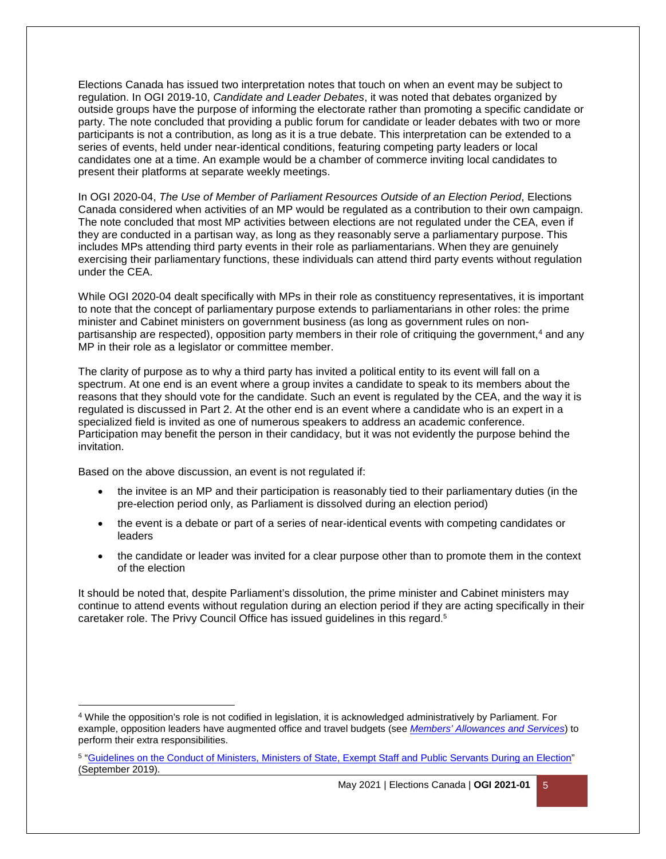Elections Canada has issued two interpretation notes that touch on when an event may be subject to regulation. In OGI 2019-10, *Candidate and Leader Debates*, it was noted that debates organized by outside groups have the purpose of informing the electorate rather than promoting a specific candidate or party. The note concluded that providing a public forum for candidate or leader debates with two or more participants is not a contribution, as long as it is a true debate. This interpretation can be extended to a series of events, held under near-identical conditions, featuring competing party leaders or local candidates one at a time. An example would be a chamber of commerce inviting local candidates to present their platforms at separate weekly meetings.

In OGI 2020-04, *The Use of Member of Parliament Resources Outside of an Election Period*, Elections Canada considered when activities of an MP would be regulated as a contribution to their own campaign. The note concluded that most MP activities between elections are not regulated under the CEA, even if they are conducted in a partisan way, as long as they reasonably serve a parliamentary purpose. This includes MPs attending third party events in their role as parliamentarians. When they are genuinely exercising their parliamentary functions, these individuals can attend third party events without regulation under the CEA.

While OGI 2020-04 dealt specifically with MPs in their role as constituency representatives, it is important to note that the concept of parliamentary purpose extends to parliamentarians in other roles: the prime minister and Cabinet ministers on government business (as long as government rules on nonpartisanship are respected), opposition party members in their role of critiquing the government,<sup>4</sup> and any MP in their role as a legislator or committee member.

The clarity of purpose as to why a third party has invited a political entity to its event will fall on a spectrum. At one end is an event where a group invites a candidate to speak to its members about the reasons that they should vote for the candidate. Such an event is regulated by the CEA, and the way it is regulated is discussed in Part 2. At the other end is an event where a candidate who is an expert in a specialized field is invited as one of numerous speakers to address an academic conference. Participation may benefit the person in their candidacy, but it was not evidently the purpose behind the invitation.

Based on the above discussion, an event is not regulated if:

 $\overline{a}$ 

- the invitee is an MP and their participation is reasonably tied to their parliamentary duties (in the pre-election period only, as Parliament is dissolved during an election period)
- the event is a debate or part of a series of near-identical events with competing candidates or leaders
- the candidate or leader was invited for a clear purpose other than to promote them in the context of the election

It should be noted that, despite Parliament's dissolution, the prime minister and Cabinet ministers may continue to attend events without regulation during an election period if they are acting specifically in their caretaker role. The Privy Council Office has issued guidelines in this regard. 5

<sup>4</sup> While the opposition's role is not codified in legislation, it is acknowledged administratively by Parliament. For example, opposition leaders have augmented office and travel budgets (see *[Members' Allowances and Services](https://www.ourcommons.ca/Content/MAS/mas-e.pdf)*) to perform their extra responsibilities.

<sup>&</sup>lt;sup>5</sup> ["Guidelines on the Conduct of Ministers, Ministers of State, Exempt Staff and Public Servants During an Election"](https://www.canada.ca/en/privy-council/services/publications/guidelines-conduct-ministers-state-exempt-staff-public-servants-election.html) (September 2019).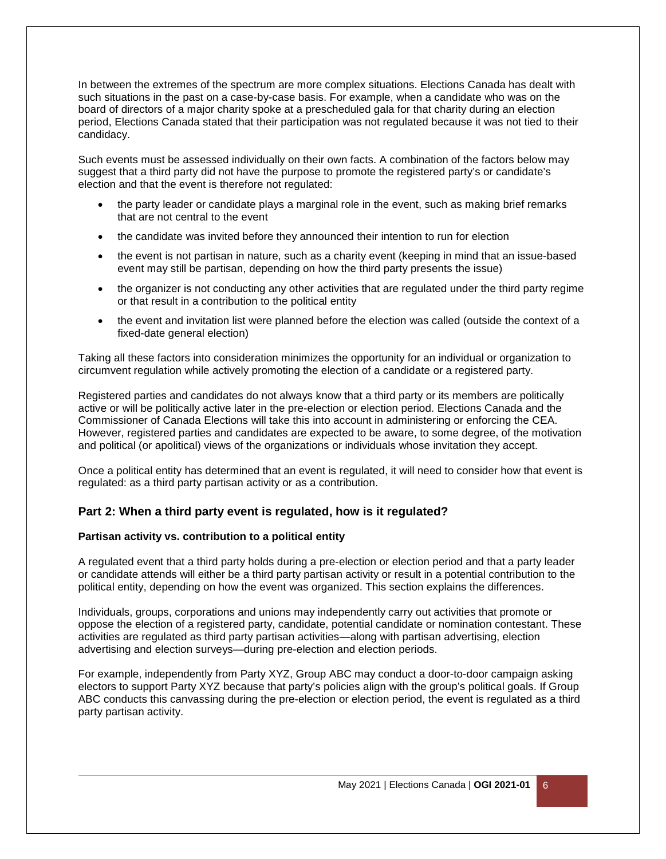In between the extremes of the spectrum are more complex situations. Elections Canada has dealt with such situations in the past on a case-by-case basis. For example, when a candidate who was on the board of directors of a major charity spoke at a prescheduled gala for that charity during an election period, Elections Canada stated that their participation was not regulated because it was not tied to their candidacy.

Such events must be assessed individually on their own facts. A combination of the factors below may suggest that a third party did not have the purpose to promote the registered party's or candidate's election and that the event is therefore not regulated:

- the party leader or candidate plays a marginal role in the event, such as making brief remarks that are not central to the event
- the candidate was invited before they announced their intention to run for election
- the event is not partisan in nature, such as a charity event (keeping in mind that an issue-based event may still be partisan, depending on how the third party presents the issue)
- the organizer is not conducting any other activities that are regulated under the third party regime or that result in a contribution to the political entity
- the event and invitation list were planned before the election was called (outside the context of a fixed-date general election)

Taking all these factors into consideration minimizes the opportunity for an individual or organization to circumvent regulation while actively promoting the election of a candidate or a registered party.

Registered parties and candidates do not always know that a third party or its members are politically active or will be politically active later in the pre-election or election period. Elections Canada and the Commissioner of Canada Elections will take this into account in administering or enforcing the CEA. However, registered parties and candidates are expected to be aware, to some degree, of the motivation and political (or apolitical) views of the organizations or individuals whose invitation they accept.

Once a political entity has determined that an event is regulated, it will need to consider how that event is regulated: as a third party partisan activity or as a contribution.

### **Part 2: When a third party event is regulated, how is it regulated?**

#### **Partisan activity vs. contribution to a political entity**

A regulated event that a third party holds during a pre-election or election period and that a party leader or candidate attends will either be a third party partisan activity or result in a potential contribution to the political entity, depending on how the event was organized. This section explains the differences.

Individuals, groups, corporations and unions may independently carry out activities that promote or oppose the election of a registered party, candidate, potential candidate or nomination contestant. These activities are regulated as third party partisan activities—along with partisan advertising, election advertising and election surveys—during pre-election and election periods.

For example, independently from Party XYZ, Group ABC may conduct a door-to-door campaign asking electors to support Party XYZ because that party's policies align with the group's political goals. If Group ABC conducts this canvassing during the pre-election or election period, the event is regulated as a third party partisan activity.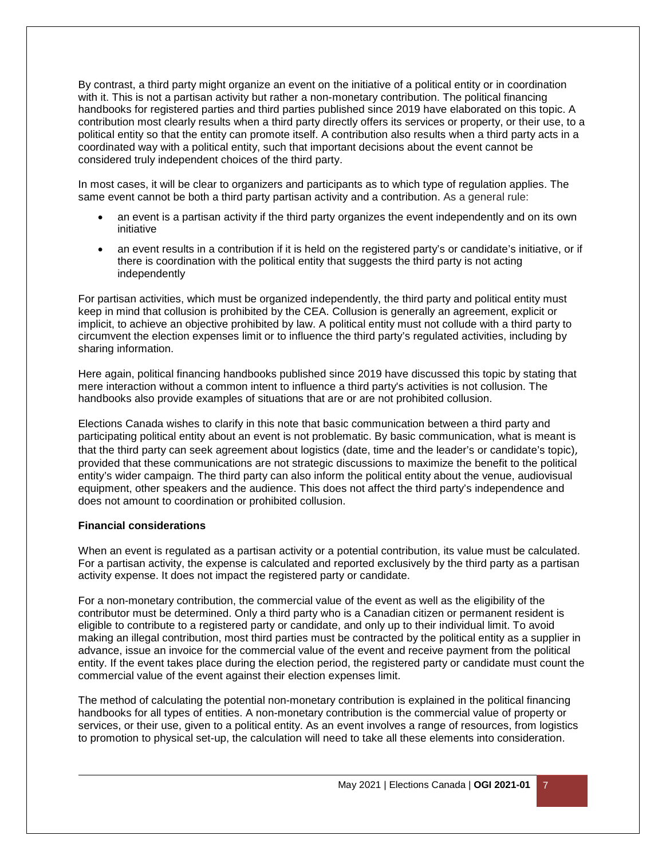By contrast, a third party might organize an event on the initiative of a political entity or in coordination with it. This is not a partisan activity but rather a non-monetary contribution. The political financing handbooks for registered parties and third parties published since 2019 have elaborated on this topic. A contribution most clearly results when a third party directly offers its services or property, or their use, to a political entity so that the entity can promote itself. A contribution also results when a third party acts in a coordinated way with a political entity, such that important decisions about the event cannot be considered truly independent choices of the third party.

In most cases, it will be clear to organizers and participants as to which type of regulation applies. The same event cannot be both a third party partisan activity and a contribution. As a general rule:

- an event is a partisan activity if the third party organizes the event independently and on its own initiative
- an event results in a contribution if it is held on the registered party's or candidate's initiative, or if there is coordination with the political entity that suggests the third party is not acting independently

For partisan activities, which must be organized independently, the third party and political entity must keep in mind that collusion is prohibited by the CEA. Collusion is generally an agreement, explicit or implicit, to achieve an objective prohibited by law. A political entity must not collude with a third party to circumvent the election expenses limit or to influence the third party's regulated activities, including by sharing information.

Here again, political financing handbooks published since 2019 have discussed this topic by stating that mere interaction without a common intent to influence a third party's activities is not collusion. The handbooks also provide examples of situations that are or are not prohibited collusion.

Elections Canada wishes to clarify in this note that basic communication between a third party and participating political entity about an event is not problematic. By basic communication, what is meant is that the third party can seek agreement about logistics (date, time and the leader's or candidate's topic), provided that these communications are not strategic discussions to maximize the benefit to the political entity's wider campaign. The third party can also inform the political entity about the venue, audiovisual equipment, other speakers and the audience. This does not affect the third party's independence and does not amount to coordination or prohibited collusion.

#### **Financial considerations**

When an event is regulated as a partisan activity or a potential contribution, its value must be calculated. For a partisan activity, the expense is calculated and reported exclusively by the third party as a partisan activity expense. It does not impact the registered party or candidate.

For a non-monetary contribution, the commercial value of the event as well as the eligibility of the contributor must be determined. Only a third party who is a Canadian citizen or permanent resident is eligible to contribute to a registered party or candidate, and only up to their individual limit. To avoid making an illegal contribution, most third parties must be contracted by the political entity as a supplier in advance, issue an invoice for the commercial value of the event and receive payment from the political entity. If the event takes place during the election period, the registered party or candidate must count the commercial value of the event against their election expenses limit.

The method of calculating the potential non-monetary contribution is explained in the political financing handbooks for all types of entities. A non-monetary contribution is the commercial value of property or services, or their use, given to a political entity. As an event involves a range of resources, from logistics to promotion to physical set-up, the calculation will need to take all these elements into consideration.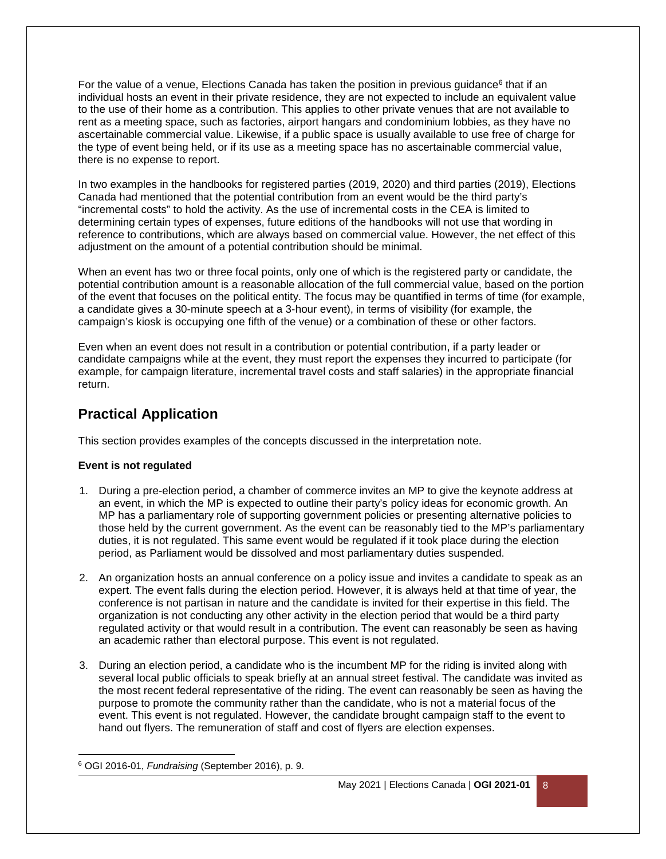For the value of a venue, Elections Canada has taken the position in previous guidance<sup>6</sup> that if an individual hosts an event in their private residence, they are not expected to include an equivalent value to the use of their home as a contribution. This applies to other private venues that are not available to rent as a meeting space, such as factories, airport hangars and condominium lobbies, as they have no ascertainable commercial value. Likewise, if a public space is usually available to use free of charge for the type of event being held, or if its use as a meeting space has no ascertainable commercial value, there is no expense to report.

In two examples in the handbooks for registered parties (2019, 2020) and third parties (2019), Elections Canada had mentioned that the potential contribution from an event would be the third party's "incremental costs" to hold the activity. As the use of incremental costs in the CEA is limited to determining certain types of expenses, future editions of the handbooks will not use that wording in reference to contributions, which are always based on commercial value. However, the net effect of this adjustment on the amount of a potential contribution should be minimal.

When an event has two or three focal points, only one of which is the registered party or candidate, the potential contribution amount is a reasonable allocation of the full commercial value, based on the portion of the event that focuses on the political entity. The focus may be quantified in terms of time (for example, a candidate gives a 30-minute speech at a 3-hour event), in terms of visibility (for example, the campaign's kiosk is occupying one fifth of the venue) or a combination of these or other factors.

Even when an event does not result in a contribution or potential contribution, if a party leader or candidate campaigns while at the event, they must report the expenses they incurred to participate (for example, for campaign literature, incremental travel costs and staff salaries) in the appropriate financial return.

# **Practical Application**

This section provides examples of the concepts discussed in the interpretation note.

### **Event is not regulated**

- 1. During a pre-election period, a chamber of commerce invites an MP to give the keynote address at an event, in which the MP is expected to outline their party's policy ideas for economic growth. An MP has a parliamentary role of supporting government policies or presenting alternative policies to those held by the current government. As the event can be reasonably tied to the MP's parliamentary duties, it is not regulated. This same event would be regulated if it took place during the election period, as Parliament would be dissolved and most parliamentary duties suspended.
- 2. An organization hosts an annual conference on a policy issue and invites a candidate to speak as an expert. The event falls during the election period. However, it is always held at that time of year, the conference is not partisan in nature and the candidate is invited for their expertise in this field. The organization is not conducting any other activity in the election period that would be a third party regulated activity or that would result in a contribution. The event can reasonably be seen as having an academic rather than electoral purpose. This event is not regulated.
- 3. During an election period, a candidate who is the incumbent MP for the riding is invited along with several local public officials to speak briefly at an annual street festival. The candidate was invited as the most recent federal representative of the riding. The event can reasonably be seen as having the purpose to promote the community rather than the candidate, who is not a material focus of the event. This event is not regulated. However, the candidate brought campaign staff to the event to hand out flyers. The remuneration of staff and cost of flyers are election expenses.

l 6 OGI 2016-01, *Fundraising* (September 2016), p. 9.